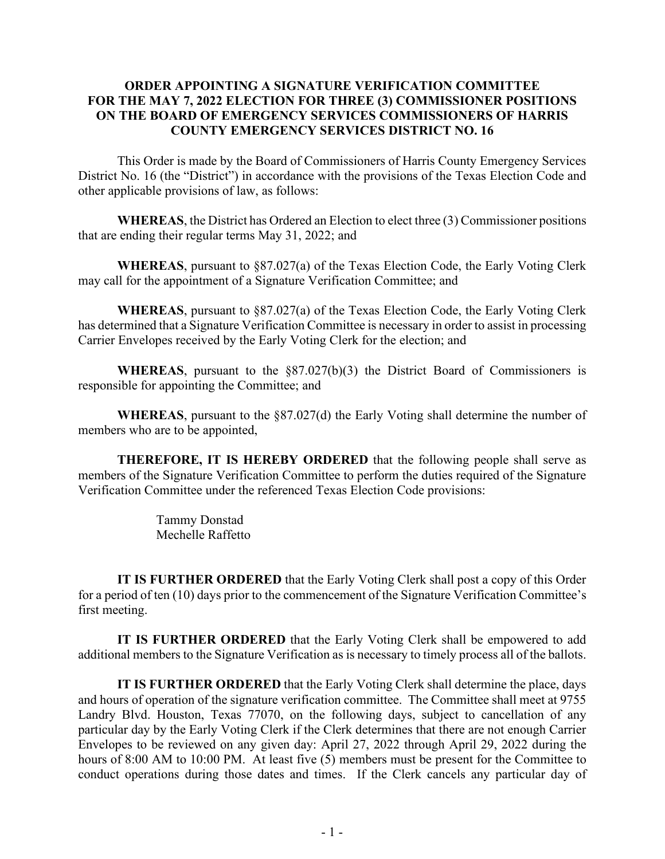## **ORDER APPOINTING A SIGNATURE VERIFICATION COMMITTEE FOR THE MAY 7, 2022 ELECTION FOR THREE (3) COMMISSIONER POSITIONS ON THE BOARD OF EMERGENCY SERVICES COMMISSIONERS OF HARRIS COUNTY EMERGENCY SERVICES DISTRICT NO. 16**

This Order is made by the Board of Commissioners of Harris County Emergency Services District No. 16 (the "District") in accordance with the provisions of the Texas Election Code and other applicable provisions of law, as follows:

**WHEREAS**, the District has Ordered an Election to elect three (3) Commissioner positions that are ending their regular terms May 31, 2022; and

**WHEREAS**, pursuant to §87.027(a) of the Texas Election Code, the Early Voting Clerk may call for the appointment of a Signature Verification Committee; and

**WHEREAS**, pursuant to §87.027(a) of the Texas Election Code, the Early Voting Clerk has determined that a Signature Verification Committee is necessary in order to assist in processing Carrier Envelopes received by the Early Voting Clerk for the election; and

**WHEREAS**, pursuant to the §87.027(b)(3) the District Board of Commissioners is responsible for appointing the Committee; and

**WHEREAS**, pursuant to the §87.027(d) the Early Voting shall determine the number of members who are to be appointed,

**THEREFORE, IT IS HEREBY ORDERED** that the following people shall serve as members of the Signature Verification Committee to perform the duties required of the Signature Verification Committee under the referenced Texas Election Code provisions:

> Tammy Donstad Mechelle Raffetto

**IT IS FURTHER ORDERED** that the Early Voting Clerk shall post a copy of this Order for a period of ten (10) days prior to the commencement of the Signature Verification Committee's first meeting.

**IT IS FURTHER ORDERED** that the Early Voting Clerk shall be empowered to add additional members to the Signature Verification as is necessary to timely process all of the ballots.

**IT IS FURTHER ORDERED** that the Early Voting Clerk shall determine the place, days and hours of operation of the signature verification committee. The Committee shall meet at 9755 Landry Blvd. Houston, Texas 77070, on the following days, subject to cancellation of any particular day by the Early Voting Clerk if the Clerk determines that there are not enough Carrier Envelopes to be reviewed on any given day: April 27, 2022 through April 29, 2022 during the hours of 8:00 AM to 10:00 PM. At least five (5) members must be present for the Committee to conduct operations during those dates and times. If the Clerk cancels any particular day of